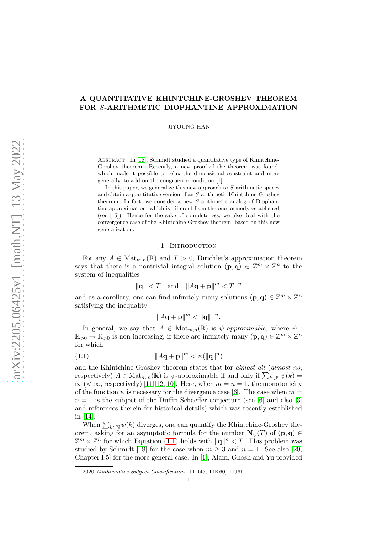# A QUANTITATIVE KHINTCHINE-GROSHEV THEOREM FOR S-ARITHMETIC DIOPHANTINE APPROXIMATION

JIYOUNG HAN

ABSTRACT. In [\[18\]](#page-12-0), Schmidt studied a quantitative type of Khintchine-Groshev theorem. Recently, a new proof of the theorem was found, which made it possible to relax the dimensional constraint and more generally, to add on the congruence condition [\[1\]](#page-12-1).

In this paper, we generalize this new approach to  $S$ -arithmetic spaces and obtain a quantitative version of an S-arithmetic Khintchine-Groshev theorem. In fact, we consider a new S-arithmetic analog of Diophantine approximation, which is different from the one formerly established (see [\[15\]](#page-12-2)). Hence for the sake of completeness, we also deal with the convergence case of the Khintchine-Groshev theorem, based on this new generalization.

### 1. INTRODUCTION

For any  $A \in \text{Mat}_{m,n}(\mathbb{R})$  and  $T > 0$ , Dirichlet's approximation theorem says that there is a nontrivial integral solution  $(p,q) \in \mathbb{Z}^m \times \mathbb{Z}^n$  to the system of inequalities

$$
\|\mathbf{q}\| < T \quad \text{and} \quad \|A\mathbf{q} + \mathbf{p}\|^{m} < T^{-n}
$$

and as a corollary, one can find infinitely many solutions  $(\mathbf{p}, \mathbf{q}) \in \mathbb{Z}^m \times \mathbb{Z}^n$ satisfying the inequality

<span id="page-0-0"></span>
$$
||A\mathbf{q} + \mathbf{p}||^{m} < ||\mathbf{q}||^{-n}.
$$

In general, we say that  $A \in Mat_{m,n}(\mathbb{R})$  is  $\psi$ -approximable, where  $\psi$ :  $\mathbb{R}_{>0} \to \mathbb{R}_{>0}$  is non-increasing, if there are infinitely many  $(\mathbf{p}, \mathbf{q}) \in \mathbb{Z}^m \times \mathbb{Z}^n$ for which

$$
(1.1)\qquad \qquad \|A\mathbf{q} + \mathbf{p}\|^m < \psi(\|\mathbf{q}\|^n)
$$

and the Khintchine-Groshev theorem states that for almost all (almost no, respectively)  $A \in Mat_{m,n}(\mathbb{R})$  is  $\psi$ -approximable if and only if  $\sum_{k \in \mathbb{N}} \psi(k) =$  $\infty$  (<  $\infty$ , respectively) [\[11,](#page-12-3) [12,](#page-12-4) [10\]](#page-12-5). Here, when  $m = n = 1$ , the monotonicity of the function  $\psi$  is necessary for the divergence case [\[6\]](#page-12-6). The case when  $m =$  $n = 1$  is the subject of the Duffin-Schaeffer conjecture (see [\[6\]](#page-12-6) and also [\[3\]](#page-12-7) and references therein for historical details) which was recently established in [\[14\]](#page-12-8).

When  $\sum_{k\in\mathbb{N}} \psi(k)$  diverges, one can quantify the Khintchine-Groshev theorem, asking for an asymptotic formula for the number  $N_{\psi}(T)$  of  $(p, q) \in$  $\mathbb{Z}^m \times \mathbb{Z}^n$  for which Equation [\(1.1\)](#page-0-0) holds with  $\|\mathbf{q}\|^n \leq T$ . This problem was studied by Schmidt [\[18\]](#page-12-0) for the case when  $m \geq 3$  and  $n = 1$ . See also [\[20,](#page-13-0) Chapter I.5] for the more general case. In [\[1\]](#page-12-1), Alam, Ghosh and Yu provided

<sup>2020</sup> Mathematics Subject Classification. 11D45, 11K60, 11J61.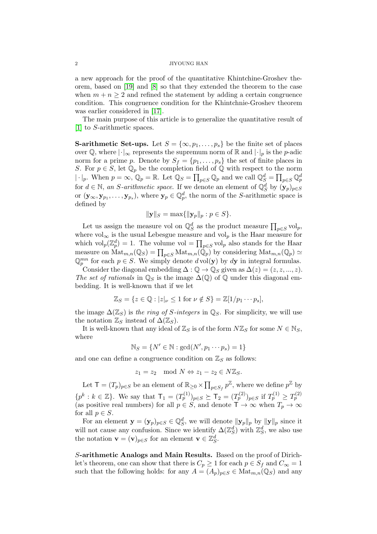a new approach for the proof of the quantitative Khintchine-Groshev theorem, based on [\[19\]](#page-13-1) and [\[8\]](#page-12-9) so that they extended the theorem to the case when  $m + n \geq 2$  and refined the statement by adding a certain congruence condition. This congruence condition for the Khintchnie-Groshev theorem was earlier considered in [\[17\]](#page-12-10).

The main purpose of this article is to generalize the quantitative result of [\[1\]](#page-12-1) to S-arithmetic spaces.

**S-arithmetic Set-ups.** Let  $S = {\infty, p_1, ..., p_s}$  be the finite set of places over Q, where  $|\cdot|_{\infty}$  represents the supremum norm of R and  $|\cdot|_p$  is the p-adic norm for a prime p. Denote by  $S_f = \{p_1, \ldots, p_s\}$  the set of finite places in S. For  $p \in S$ , let  $\mathbb{Q}_p$  be the completion field of  $\mathbb{Q}$  with respect to the norm  $|\cdot|_p$ . When  $p = \infty$ ,  $\mathbb{Q}_p = \mathbb{R}$ . Let  $\mathbb{Q}_S = \prod_{p \in S} \mathbb{Q}_p$  and we call  $\mathbb{Q}_S^d = \prod_{p \in S} \mathbb{Q}_p^d$ for  $d \in \mathbb{N}$ , an *S*-arithmetic space. If we denote an element of  $\mathbb{Q}_S^d$  by  $(\mathbf{y}_p)_{p \in S}$ or  $(\mathbf{y}_{\infty}, \mathbf{y}_{p_1}, \dots, \mathbf{y}_{p_s})$ , where  $\mathbf{y}_p \in \mathbb{Q}_p^d$ , the norm of the S-arithmetic space is defined by

$$
\|\mathbf{y}\|_{S} = \max\{\|\mathbf{y}_p\|_p : p \in S\}.
$$

Let us assign the measure vol on  $\mathbb{Q}_S^d$  as the product measure  $\prod_{p\in S}$  vol<sub>p</sub>, where vol<sub>∞</sub> is the usual Lebesgue measure and vol<sub>p</sub> is the Haar measure for which  $vol_p(\mathbb{Z}_p^d) = 1$ . The volume vol  $= \prod_{p \in S} vol_p$  also stands for the Haar measure on  $\text{Mat}_{m,n}(\mathbb{Q}_S) = \prod_{p \in S} \text{Mat}_{m,n}(\mathbb{Q}_p)$  by considering  $\text{Mat}_{m,n}(\mathbb{Q}_p) \simeq$  $\mathbb{Q}_p^{mn}$  for each  $p \in S$ . We simply denote  $d \text{vol}(\mathbf{y})$  by  $d\mathbf{y}$  in integral formulas.

Consider the diagonal embedding  $\Delta: \mathbb{Q} \to \mathbb{Q}_S$  given as  $\Delta(z) = (z, z, ..., z)$ . The set of rationals in  $\mathbb{Q}_S$  is the image  $\Delta(\mathbb{Q})$  of  $\mathbb Q$  under this diagonal embedding. It is well-known that if we let

$$
\mathbb{Z}_S = \{ z \in \mathbb{Q} : |z|_{\nu} \le 1 \text{ for } \nu \notin S \} = \mathbb{Z}[1/p_1 \cdots p_s],
$$

the image  $\Delta(\mathbb{Z}_S)$  is the ring of S-integers in  $\mathbb{Q}_S$ . For simplicity, we will use the notation  $\mathbb{Z}_S$  instead of  $\Delta(\mathbb{Z}_S)$ .

It is well-known that any ideal of  $\mathbb{Z}_S$  is of the form  $N\mathbb{Z}_S$  for some  $N \in \mathbb{N}_S$ , where

$$
\mathbb{N}_S = \{ N' \in \mathbb{N} : \gcd(N', p_1 \cdots p_s) = 1 \}
$$

and one can define a congruence condition on  $\mathbb{Z}_S$  as follows:

$$
z_1 = z_2 \mod N \Leftrightarrow z_1 - z_2 \in N\mathbb{Z}_S.
$$

Let  $\mathsf{T} = (T_p)_{p \in S}$  be an element of  $\mathbb{R}_{\geq 0} \times \prod_{p \in S_f} p^{\mathbb{Z}}$ , where we define  $p^{\mathbb{Z}}$  by  $\{p^k : k \in \mathbb{Z}\}\.$  We say that  $\mathsf{T}_1 = (T_p^{(1)})_{p \in S} \succeq \mathsf{T}_2 = (T_p^{(2)})_{p \in S}$  if  $T_p^{(1)} \ge T_p^{(2)}$ (as positive real numbers) for all  $p \in S$ , and denote  $\mathsf{T} \to \infty$  when  $T_p \to \infty$ for all  $p \in S$ .

For an element  $\mathbf{y} = (\mathbf{y}_p)_{p \in S} \in \mathbb{Q}_S^d$ , we will denote  $\|\mathbf{y}_p\|_p$  by  $\|\mathbf{y}\|_p$  since it will not cause any confusion. Since we identify  $\Delta(\mathbb{Z}_S^d)$  with  $\mathbb{Z}_S^d$ , we also use the notation  $\mathbf{v} = (\mathbf{v})_{p \in S}$  for an element  $\mathbf{v} \in \mathbb{Z}_S^d$ .

S-arithmetic Analogs and Main Results. Based on the proof of Dirichlet's theorem, one can show that there is  $C_p \geq 1$  for each  $p \in S_f$  and  $C_{\infty} = 1$ such that the following holds: for any  $A = (A_p)_{p \in S} \in \text{Mat}_{m,n}(\mathbb{Q}_S)$  and any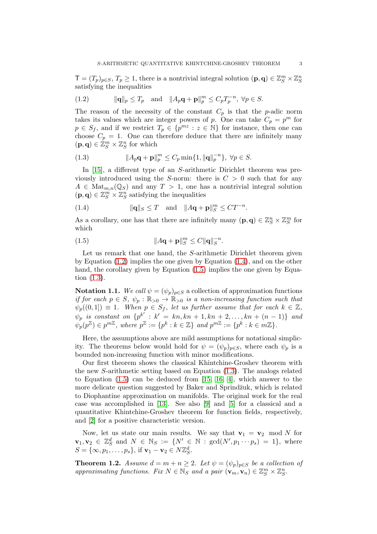$\mathsf{T}=(T_p)_{p\in S}, T_p\geq 1$ , there is a nontrivial integral solution  $(\mathbf{p},\mathbf{q})\in \mathbb{Z}_S^m\times \mathbb{Z}_S^n$ satisfying the inequalities

<span id="page-2-0"></span>(1.2) 
$$
\|\mathbf{q}\|_p \le T_p \quad \text{and} \quad \|A_p \mathbf{q} + \mathbf{p}\|_p^m \le C_p T_p^{-n}, \ \forall p \in S.
$$

The reason of the necessity of the constant  $C_p$  is that the p-adic norm takes its values which are integer powers of p. One can take  $C_p = p^m$  for  $p \in S_f$ , and if we restrict  $T_p \in \{p^{mz} : z \in \mathbb{N}\}\)$  for instance, then one can choose  $C_p = 1$ . One can therefore deduce that there are infinitely many  $(\mathbf{p}, \mathbf{q}) \in \mathbb{Z}_{S}^{m} \times \mathbb{Z}_{S}^{n}$  for which

<span id="page-2-3"></span>(1.3) 
$$
\|A_p \mathbf{q} + \mathbf{p}\|_p^m \le C_p \min\{1, \|\mathbf{q}\|_p^{-n}\}, \ \forall p \in S.
$$

In [\[15\]](#page-12-2), a different type of an S-arithmetic Dirichlet theorem was previously introduced using the S-norm: there is  $C > 0$  such that for any  $A \in \text{Mat}_{m,n}(\mathbb{Q}_S)$  and any  $T > 1$ , one has a nontrivial integral solution  $(\mathbf{p}, \mathbf{q}) \in \mathbb{Z}_S^m \times \mathbb{Z}_S^n$  satisfying the inequalities

<span id="page-2-1"></span>(1.4) 
$$
\|\mathbf{q}\|_{S} \leq T \quad \text{and} \quad \|A\mathbf{q} + \mathbf{p}\|_{S}^{m} \leq CT^{-n}.
$$

As a corollary, one has that there are infinitely many  $(p, q) \in \mathbb{Z}_S^n \times \mathbb{Z}_S^m$  for which

<span id="page-2-2"></span>(1.5) 
$$
||A\mathbf{q} + \mathbf{p}||_{S}^{m} \leq C ||\mathbf{q}||_{S}^{-n}.
$$

Let us remark that one hand, the S-arithmetic Dirichlet theorem given by Equation  $(1.2)$  implies the one given by Equation  $(1.4)$ , and on the other hand, the corollary given by Equation  $(1.5)$  implies the one given by Equation [\(1.3\)](#page-2-3).

**Notation 1.1.** We call  $\psi = (\psi_p)_{p \in S}$  a collection of approximation functions if for each  $p \in S$ ,  $\psi_p : \mathbb{R}_{>0} \to \mathbb{R}_{>0}$  is a non-increasing function such that  $\psi_p((0,1]) \equiv 1$ . When  $p \in S_f$ , let us further assume that for each  $k \in \mathbb{Z}$ ,  $\psi_p$  is constant on  $\{p^{k'}: k' = kn, kn + 1, kn + 2, ..., kn + (n - 1)\}\$  and  $\psi_p(p^{\mathbb{Z}}) \in p^{m\mathbb{Z}}$ , where  $p^{\mathbb{Z}} := \{p^k : k \in \mathbb{Z}\}$  and  $p^{m\mathbb{Z}} := \{p^k : k \in m\mathbb{Z}\}.$ 

Here, the assumptions above are mild assumptions for notational simplicity. The theorems below would hold for  $\psi = (\psi_p)_{p \in S}$ , where each  $\psi_p$  is a bounded non-increasing function with minor modifications.

Our first theorem shows the classical Khintchine-Groshev theorem with the new S-arithmetic setting based on Equation [\(1.3\)](#page-2-3). The analogs related to Equation [\(1.5\)](#page-2-2) can be deduced from [\[15,](#page-12-2) [16,](#page-12-11) [4\]](#page-12-12), which answer to the more delicate question suggested by Baker and Sprindžuk, which is related to Diophantine approximation on manifolds. The original work for the real case was accomplished in [\[13\]](#page-12-13). See also [\[9\]](#page-12-14) and [\[5\]](#page-12-15) for a classical and a quantitative Khintchine-Groshev theorem for function fields, respectively, and [\[2\]](#page-12-16) for a positive characteristic version.

Now, let us state our main results. We say that  $v_1 = v_2 \mod N$  for  $\mathbf{v}_1, \mathbf{v}_2 \in \mathbb{Z}_S^d$  and  $N \in \mathbb{N}_S := \{N' \in \mathbb{N} : \text{gcd}(N', p_1 \cdots p_s) = 1\},\$  where  $S = {\infty, p_1, \ldots, p_s}$ , if  $\mathbf{v}_1 - \mathbf{v}_2 \in N \mathbb{Z}_S^d$ .

<span id="page-2-4"></span>**Theorem 1.2.** Assume  $d = m + n \geq 2$ . Let  $\psi = (\psi_p)_{p \in S}$  be a collection of approximating functions. Fix  $N \in \mathbb{N}_S$  and a pair  $(\mathbf{v}_m, \mathbf{v}_n) \in \mathbb{Z}_S^m \times \mathbb{Z}_S^n$ .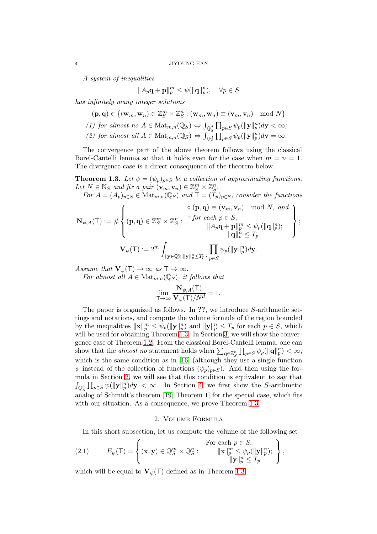A system of inequalities

$$
||A_p \mathbf{q} + \mathbf{p}||_p^m \le \psi(||\mathbf{q}||_p^n), \quad \forall p \in S
$$

has infinitely many integer solutions

$$
(\mathbf{p}, \mathbf{q}) \in \{(\mathbf{w}_m, \mathbf{w}_n) \in \mathbb{Z}_S^m \times \mathbb{Z}_S^n : (\mathbf{w}_m, \mathbf{w}_n) \equiv (\mathbf{v}_m, \mathbf{v}_n) \mod N\}
$$
  
(1) for almost no  $A \in \text{Mat}_{m,n}(\mathbb{Q}_S) \Leftrightarrow \int_{\mathbb{Q}_S^d} \prod_{p \in S} \psi_p(\|\mathbf{y}\|_p^n) d\mathbf{y} < \infty;$ 

(2) for almost all  $A \in \text{Mat}_{m,n}(\mathbb{Q}_S) \Leftrightarrow \int_{\mathbb{Q}_S^d} \prod_{p \in S} \psi_p(\|\mathbf{y}\|_p^n) d\mathbf{y} = \infty$ .

The convergence part of the above theorem follows using the classical Borel-Cantelli lemma so that it holds even for the case when  $m = n = 1$ . The divergence case is a direct consequence of the theorem below.

<span id="page-3-0"></span>**Theorem 1.3.** Let  $\psi = (\psi_p)_{p \in S}$  be a collection of approximating functions. Let  $N \in \mathbb{N}_S$  and fix a pair  $(\mathbf{v}_m, \mathbf{v}_n) \in \mathbb{Z}_S^m \times \mathbb{Z}_S^n$ .

For  $A = (A_p)_{p \in S} \in \text{Mat}_{m,n}(\mathbb{Q}_S)$  and  $\tilde{\mathsf{T}} = (\tilde{T}_p)_{p \in S}$ , consider the functions  $\hat{\rho}$  (p, q) = (v, v) model

$$
\mathbf{N}_{\psi,A}(\mathsf{T}) := \# \left\{ (\mathbf{p},\mathbf{q}) \in \mathbb{Z}_S^m \times \mathbb{Z}_S^n : \begin{array}{c} \circ(\mathbf{p},\mathbf{q}) \equiv (\mathbf{v}_m,\mathbf{v}_n) \mod N, \text{ and } \\ \mathbf{p} \in S, \\ \|A_p\mathbf{q} + \mathbf{p}\|_p^m \leq \psi_p(\|\mathbf{q}\|_p^n); \\ \|\mathbf{q}\|_p^n \leq T_p \end{array} \right\};
$$
\n
$$
\mathbf{V}_{\psi}(\mathsf{T}) := 2^m \int_{\{\mathbf{y} \in \mathbb{Q}_S^n : \|\mathbf{y}\|_p^n \leq T_p\}} \prod_{p \in S} \psi_p(\|\mathbf{y}\|_p^n) d\mathbf{y}.
$$

Assume that  $\mathbf{V}_{\psi}(\mathsf{T}) \to \infty$  as  $\mathsf{T} \to \infty$ .

For almost all  $A \in Mat_{m,n}(\mathbb{Q}_S)$ , it follows that

$$
\lim_{T \to \infty} \frac{\mathbf{N}_{\psi,A}(T)}{\mathbf{V}_{\psi}(T)/N^d} = 1.
$$

The paper is organized as follows. In ??, we introduce S-arithmetic settings and notations, and compute the volume formula of the region bounded by the inequalities  $\|\mathbf{x}\|_p^m \leq \psi_p(\|\mathbf{y}\|_p^n)$  and  $\|\mathbf{y}\|_p^n \leq T_p$  for each  $p \in S$ , which will be used for obtaining Theorem [1.3.](#page-3-0) In Section [3,](#page-4-0) we will show the convergence case of Theorem [1.2.](#page-2-4) From the classical Borel-Cantelli lemma, one can show that the *almost no* statement holds when  $\sum_{\mathbf{q}\in\mathbb{Z}_S^n} \prod_{p\in S} \psi_p(\|\mathbf{q}\|_p^n) < \infty$ , which is the same condition as in [\[16\]](#page-12-11) (although they use a single function  $\psi$  instead of the collection of functions  $(\psi_p)_{p\in S}$ . And then using the formula in Section [2,](#page-3-1) we will see that this condition is equivalent to say that  $\int_{\mathbb{Q}_S^n} \prod_{p \in S} \psi(||\mathbf{y}||_p^n) d\mathbf{y} < \infty$ . In Section [4,](#page-7-0) we first show the S-arithmetic analog of Schmidt's theorem [\[19,](#page-13-1) Theorem 1] for the special case, which fits with our situation. As a consequence, we prove Theorem [1.3.](#page-3-0)

### 2. Volume Formula

<span id="page-3-2"></span><span id="page-3-1"></span>In this short subsection, let us compute the volume of the following set

(2.1) 
$$
E_{\psi}(\mathsf{T}) = \left\{ (\mathbf{x}, \mathbf{y}) \in \mathbb{Q}_{S}^{m} \times \mathbb{Q}_{S}^{n} : \begin{aligned} &\text{For each } p \in S, \\ &\|\mathbf{x}\|_{p}^{m} \leq \psi_{p}(\|\mathbf{y}\|_{p}^{n}); \\ &\|\mathbf{y}\|_{p}^{n} \leq T_{p} \end{aligned} \right\},
$$

which will be equal to  $\mathbf{V}_{\psi}(\mathsf{T})$  defined as in Theorem [1.3.](#page-3-0)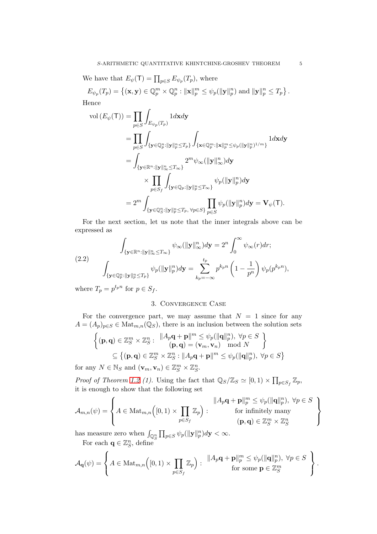We have that  $E_{\psi}(\mathsf{T}) = \prod_{p \in S} E_{\psi_p}(T_p)$ , where

 $E_{\psi_p}(T_p) = \left\{ (\mathbf{x}, \mathbf{y}) \in \mathbb{Q}_p^m \times \mathbb{Q}_p^n : ||\mathbf{x}||_p^m \leq \psi_p(||\mathbf{y}||_p^n) \text{ and } ||\mathbf{y}||_p^n \leq T_p \right\}.$ Hence

$$
\begin{aligned} \text{vol}\left(E_{\psi}(\mathsf{T})\right) &= \prod_{p \in S} \int_{E_{\psi_p}(T_p)} 1 d\mathbf{x} d\mathbf{y} \\ &= \prod_{p \in S} \int_{\{\mathbf{y} \in \mathbb{Q}_p^n: \|\mathbf{y}\|_p^n \le T_p\}} \int_{\{\mathbf{x} \in \mathbb{Q}_p^m: \|\mathbf{x}\|_p^m \le \psi_p(\|\mathbf{y}\|_p^n)^{1/m}\}} 1 d\mathbf{x} d\mathbf{y} \\ &= \int_{\{\mathbf{y} \in \mathbb{R}^n: \|\mathbf{y}\|_\infty^n \le T_\infty\}} 2^m \psi_\infty(\|\mathbf{y}\|_\infty^n) d\mathbf{y} \\ &\times \prod_{p \in S_f} \int_{\{\mathbf{y} \in \mathbb{Q}_p: \|\mathbf{y}\|_p^n \le T_\infty\}} \psi_p(\|\mathbf{y}\|_p^n) d\mathbf{y} \\ &= 2^m \int_{\{\mathbf{y} \in \mathbb{Q}_S^n: \|\mathbf{y}\|_p^n \le T_p, \ \forall p \in S\}} \prod_{p \in S} \psi_p(\|\mathbf{y}\|_p^n) d\mathbf{y} = \mathbf{V}_{\psi}(\mathsf{T}). \end{aligned}
$$

For the next section, let us note that the inner integrals above can be expressed as

<span id="page-4-1"></span>(2.2) 
$$
\int_{\{\mathbf{y}\in\mathbb{R}^n:\|\mathbf{y}\|_{\infty}^n\leq T_{\infty}\}} \psi_{\infty}(\|\mathbf{y}\|_{\infty}^n) d\mathbf{y} = 2^n \int_0^{\infty} \psi_{\infty}(r) dr;
$$

$$
\int_{\{\mathbf{y}\in\mathbb{Q}_p^n:\|\mathbf{y}\|_p^n\leq T_p\}} \psi_p(\|\mathbf{y}\|_p^n) d\mathbf{y} = \sum_{k_p=-\infty}^{t_p} p^{k_p n} \left(1 - \frac{1}{p^n}\right) \psi_p(p^{k_p n}),
$$

<span id="page-4-0"></span>where  $T_p = p^{t_p n}$  for  $p \in S_f$ .

 $\ddot{\phantom{0}}$ 

## 3. Convergence Case

For the convergence part, we may assume that  $N = 1$  since for any  $A = (A_p)_{p \in S} \in \text{Mat}_{m,n}(\mathbb{Q}_S)$ , there is an inclusion between the solution sets

$$
\begin{aligned} \left\{ (\mathbf{p},\mathbf{q}) \in \mathbb{Z}_S^m \times \mathbb{Z}_S^n: \begin{array}{l} \|A_p \mathbf{q} + \mathbf{p}\|^m \leq \psi_p(\|\mathbf{q}\|_p^n), \ \forall p \in S \\ (\mathbf{p},\mathbf{q}) = (\mathbf{v}_m,\mathbf{v}_n) \mod N \end{array} \right\} \\ &\subseteq \left\{ (\mathbf{p},\mathbf{q}) \in \mathbb{Z}_S^m \times \mathbb{Z}_S^n : \|A_p \mathbf{q} + \mathbf{p}\|^m \leq \psi_p(\|\mathbf{q}\|_p^n), \ \forall p \in S \right\} \end{aligned}
$$

for any  $N \in \mathbb{N}_S$  and  $(\mathbf{v}_m, \mathbf{v}_n) \in \mathbb{Z}_S^m \times \mathbb{Z}_S^n$ .

*Proof of Theorem [1.2](#page-2-4) (1).* Using the fact that  $\mathbb{Q}_S/\mathbb{Z}_S \simeq [0,1) \times \prod_{p \in S_f} \mathbb{Z}_p$ , it is enough to show that the following set

$$
\mathcal{A}_{m,n}(\psi) = \left\{ A \in \text{Mat}_{m,n} \Big( [0,1) \times \prod_{p \in S_f} \mathbb{Z}_p \Big) : \begin{array}{c} \|A_p \mathbf{q} + \mathbf{p} \|_p^m \leq \psi_p(\|\mathbf{q}\|_p^n), \ \forall p \in S \\ \text{for infinitely many} \\ (\mathbf{p},\mathbf{q}) \in \mathbb{Z}_S^m \times \mathbb{Z}_S^n \end{array} \right\}
$$

has measure zero when  $\int_{\mathbb{Q}_S^n} \prod_{p \in S} \psi_p(\|\mathbf{y}\|_p^n) d\mathbf{y} < \infty$ .

For each  $\mathbf{q} \in \mathbb{Z}_{S}^{n}$ , define

$$
\mathcal{A}_{\mathbf{q}}(\psi) = \left\{ A \in \text{Mat}_{m,n} \Big( [0,1) \times \prod_{p \in S_f} \mathbb{Z}_p \Big) : \begin{array}{c} \|A_p \mathbf{q} + \mathbf{p} \|_p^m \leq \psi_p(\|\mathbf{q}\|_p^n), \ \forall p \in S \\ \text{for some } \mathbf{p} \in \mathbb{Z}_S^m \end{array} \right\}.
$$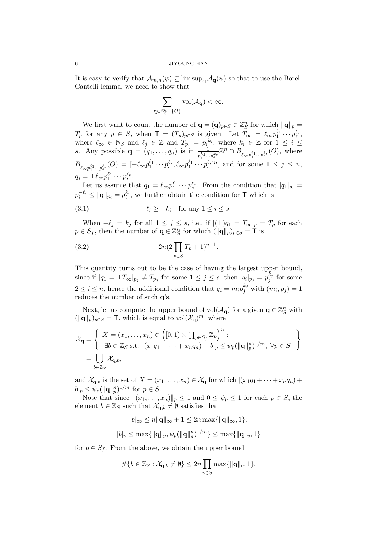#### 6 JIYOUNG HAN

It is easy to verify that  $\mathcal{A}_{m,n}(\psi) \subseteq \limsup_{\mathbf{q}} \mathcal{A}_{\mathbf{q}}(\psi)$  so that to use the Borel-Cantelli lemma, we need to show that

$$
\sum_{\mathbf{q}\in\mathbb{Z}_S^n-\{O\}}\mathrm{vol}(\mathcal{A}_{\mathbf{q}})<\infty.
$$

We first want to count the number of  $\mathbf{q} = (\mathbf{q})_{p \in S} \in \mathbb{Z}_S^n$  for which  $\|\mathbf{q}\|_p =$  $T_p$  for any  $p \in S$ , when  $\mathsf{T} = (T_p)_{p \in S}$  is given. Let  $T_\infty = \ell_\infty p_1^{\ell_1} \cdots p_s^{\ell_s}$ , where  $\ell_{\infty} \in \mathbb{N}_S$  and  $\ell_j \in \mathbb{Z}$  and  $T_{p_i} = p_i^{k_i}$ , where  $k_i \in \mathbb{Z}$  for  $1 \leq i \leq$ s. Any possible  $\mathbf{q} = (q_1, \ldots, q_n)$  is in  $\frac{1}{p_1^{k_1} \cdots p_s^{k_s}} \mathbb{Z}^n \cap B_{\ell_\infty p_1^{\ell_1} \cdots p_s^{\ell_s}}(O)$ , where  $B_{\ell_{\infty}p_1^{\ell_1}\cdots p_s^{\ell_s}}(O) = [-\ell_{\infty}p_1^{\ell_1}\cdots p_s^{\ell_s}, \ell_{\infty}p_1^{\ell_1}\cdots p_s^{\ell_s}]^n$ , and for some  $1 \leq j \leq n$ ,  $q_j = \pm \ell_\infty p_1^{\ell_1} \cdots p_s^{\ell_s}.$ 

Let us assume that  $q_1 = \ell_{\infty} p_1^{\ell_1} \cdots p_s^{\ell_s}$ . From the condition that  $|q_1|_{p_i} =$  $p_i^{-\ell_i} \leq ||\mathbf{q}||_{p_i} = p_i^{k_i}$ , we further obtain the condition for T which is

<span id="page-5-0"></span>(3.1) ℓ<sup>i</sup> ≥ −k<sup>i</sup> for any 1 ≤ i ≤ s.

When  $-\ell_j = k_j$  for all  $1 \leq j \leq s$ , i.e., if  $|(\pm)q_1 = T_\infty|_p = T_p$  for each  $p \in S_f$ , then the number of  $\mathbf{q} \in \mathbb{Z}_{S}^n$  for which  $(\|\mathbf{q}\|_p)_{p \in S} = \mathbf{\dot{T}}$  is

<span id="page-5-1"></span>(3.2) 
$$
2n(2\prod_{p\in S}T_p+1)^{n-1}.
$$

This quantity turns out to be the case of having the largest upper bound, since if  $|q_1 = \pm T_{\infty}|_{p_j} \neq T_{p_j}$  for some  $1 \leq j \leq s$ , then  $|q_i|_{p_j} = p_j^{k_j}$  $j^{k_j}$  for some  $2 \leq i \leq n$ , hence the additional condition that  $q_i = m_i p_j^{k_j}$  with  $(m_i, p_j) = 1$ reduces the number of such q's.

Next, let us compute the upper bound of  $vol(\mathcal{A}_{q})$  for a given  $q \in \mathbb{Z}_{S}^{n}$  with  $(\|\mathbf{q}\|_p)_{p\in S} = \mathsf{T}$ , which is equal to vol $(\mathcal{X}_{\mathbf{q}})^m$ , where

$$
\mathcal{X}_{\mathbf{q}} = \left\{ \begin{array}{l} X = (x_1, \dots, x_n) \in \left( [0, 1) \times \prod_{p \in S_f} \mathbb{Z}_p \right)^n : \\ \exists b \in \mathbb{Z}_S \text{ s.t. } |(x_1 q_1 + \dots + x_n q_n) + b|_p \leq \psi_p (\|\mathbf{q}\|_p^n)^{1/m}, \ \forall p \in S \end{array} \right\}
$$
  
= 
$$
\bigcup_{b \in \mathbb{Z}_S} \mathcal{X}_{\mathbf{q}, b},
$$

and  $\mathcal{X}_{\mathbf{q},b}$  is the set of  $X = (x_1, \ldots, x_n) \in \mathcal{X}_{\mathbf{q}}$  for which  $|(x_1q_1 + \cdots + x_nq_n) +$  $b|_p \leq \psi_p(||\mathbf{q}||_p^n)^{1/m}$  for  $p \in S$ .

Note that since  $||(x_1, \ldots, x_n)||_p \leq 1$  and  $0 \leq \psi_p \leq 1$  for each  $p \in S$ , the element  $b \in \mathbb{Z}_S$  such that  $\mathcal{X}_{q,b} \neq \emptyset$  satisfies that

$$
|b|_{\infty} \le n \|\mathbf{q}\|_{\infty} + 1 \le 2n \max\{\|\mathbf{q}\|_{\infty}, 1\};
$$
  

$$
|b|_{p} \le \max\{\|\mathbf{q}\|_{p}, \psi_{p}(\|\mathbf{q}\|_{p}^{n})^{1/m}\} \le \max\{\|\mathbf{q}\|_{p}, 1\}
$$

for  $p \in S_f$ . From the above, we obtain the upper bound

$$
\#\{b\in\mathbb{Z}_S:\mathcal{X}_{\mathbf{q},b}\neq\emptyset\}\leq 2n\prod_{p\in S}\max\{\|\mathbf{q}\|_p,1\}.
$$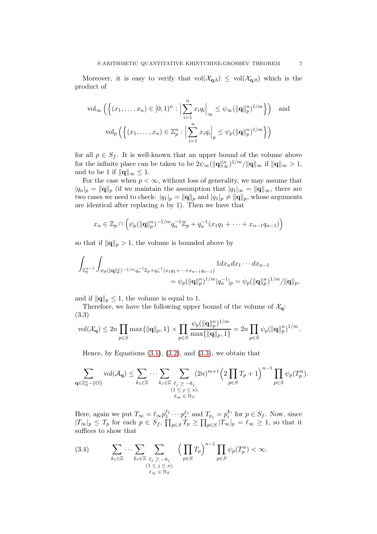Moreover, it is easy to verify that  $vol(\mathcal{X}_{q,b}) \le vol(\mathcal{X}_{q,0})$  which is the product of

$$
\text{vol}_{\infty}\left(\left\{(x_1,\ldots,x_n)\in[0,1)^n:\left|\sum_{i=1}^nx_iq_i\right|_{\infty}\leq\psi_{\infty}(\|\mathbf{q}\|_p^n)^{1/m}\right\}\right)\quad\text{and}
$$

$$
\text{vol}_p\left(\left\{(x_1,\ldots,x_n)\in\mathbb{Z}_p^n:\left|\sum_{i=1}^nx_iq_i\right|_p\leq\psi_p(\|\mathbf{q}\|_p^n)^{1/m}\right\}\right)
$$

for all  $p \in S_f$ . It is well-known that an upper bound of the volume above for the infinite place can be taken to be  $2\psi_{\infty}(\|\mathbf{q}\|_{\infty}^n)^{1/m}/\|\mathbf{q}\|_{\infty}$  if  $\|\mathbf{q}\|_{\infty} > 1$ , and to be 1 if  $\|\mathbf{q}\|_{\infty} \leq 1$ .

For the case when  $p < \infty$ , without loss of generality, we may assume that  $|q_n|_p = ||\mathbf{q}||_p$  (if we maintain the assumption that  $|q_1|_{\infty} = ||\mathbf{q}||_{\infty}$ , there are two cases we need to check:  $|q_1|_p = ||\mathbf{q}||_p$  and  $|q_1|_p \neq ||\mathbf{q}||_p$ , whose arguments are identical after replacing  $n$  by 1). Then we have that

$$
x_n \in \mathbb{Z}_p \cap \left( \psi_p(\|\mathbf{q}\|_p^n)^{-1/m} q_n^{-1} \mathbb{Z}_p + q_n^{-1}(x_1 q_1 + \dots + x_{n-1} q_{n-1}) \right)
$$

so that if  $\|\mathbf{q}\|_p > 1$ , the volume is bounded above by

$$
\begin{aligned}\int_{\mathbb{Z}_p^{n-1}}\int_{\psi_p(\|\mathbf{q}\|_p^n)^{-1/m}q_n^{-1}\mathbb{Z}_p+q_n^{-1}(x_1q_1+\cdots+x_{n-1}q_{n-1})}1 dx_ndx_1\cdots dx_{n-1}\\&=\psi_p(\|\mathbf{q}\|_p^n)^{1/m}|q_n^{-1}|_p=\psi_p(\|\mathbf{q}\|_p^n)^{1/m}/\|\mathbf{q}\|_p,\end{aligned}
$$

and if  $\|\mathbf{q}\|_p \leq 1$ , the volume is equal to 1.

Therefore, we have the following upper bound of the volume of  $\mathcal{X}_{q}$ : (3.3)

<span id="page-6-0"></span>
$$
\text{vol}(\mathcal{X}_{\mathbf{q}}) \leq 2n \prod_{p \in S} \max\{\|\mathbf{q}\|_p, 1\} \times \prod_{p \in S} \frac{\psi_p(\|\mathbf{q}\|_p^n)^{1/m}}{\max\{\|\mathbf{q}\|_p, 1\}} = 2n \prod_{p \in S} \psi_p(\|\mathbf{q}\|_p^n)^{1/m}.
$$

Hence, by Equations  $(3.1)$ ,  $(3.2)$ , and  $(3.3)$ , we obtain that

$$
\sum_{\mathbf{q}\in\mathbb{Z}_S^n-\{O\}}\mathrm{vol}(\mathcal{A}_{\mathbf{q}})\leq \sum_{k_1\in\mathbb{Z}}\cdots\sum_{k_s\in\mathbb{Z}}\sum_{\substack{\ell_j\geq -k_j\\(1\leq j\leq s);\\\ell_{\infty}\in\mathbb{N}_S}}(2n)^{m+1}\left(2\prod_{p\in S}T_p+1\right)^{n-1}\prod_{p\in S}\psi_p(T_p^n).
$$

Here, again we put  $T_{\infty} = \ell_{\infty} p_1^{\ell_1} \cdots p_s^{\ell_s}$  and  $T_{p_j} = p_i^{k_i}$  for  $p \in S_f$ . Now, since  $|T_{\infty}|_p \leq T_p$  for each  $p \in S_f$ ,  $\prod_{p \in S} T_p \geq \prod_{p \in S} |T_{\infty}|_p = \ell_{\infty} \geq 1$ , so that it suffices to show that

<span id="page-6-1"></span>
$$
(3.4) \qquad \sum_{k_1 \in \mathbb{Z}} \cdots \sum_{k_s \in \mathbb{Z}} \sum_{\substack{\ell_j \geq -k_j \\ (1 \leq j \leq s); \\ \ell_\infty \in \mathbb{N}_S}} \left(\prod_{p \in S} T_p\right)^{n-1} \prod_{p \in S} \psi_p(T_p^n) < \infty.
$$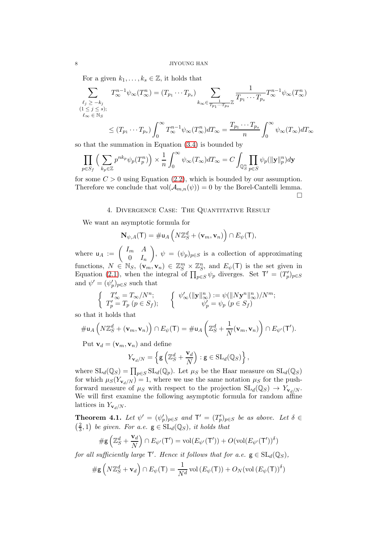For a given  $k_1, \ldots, k_s \in \mathbb{Z}$ , it holds that

$$
\sum_{\substack{\ell_j \geq -k_j \\ (1 \leq j \leq s); \\ \ell_{\infty} \in \mathbb{N}_S}} T_{\infty}^{n-1} \psi_{\infty}(T_{\infty}^n) = (T_{p_1} \cdots T_{p_s}) \sum_{k_{\infty} \in \frac{1}{T_{p_1} \cdots T_{p_s}} \mathbb{Z}} \frac{1}{T_{p_1} \cdots T_{p_s}} T_{\infty}^{n-1} \psi_{\infty}(T_{\infty}^n)
$$
\n
$$
\leq (T_{p_1} \cdots T_{p_s}) \int_0^{\infty} T_{\infty}^{n-1} \psi_{\infty}(T_{\infty}^n) dT_{\infty} = \frac{T_{p_1} \cdots T_{p_s}}{n} \int_0^{\infty} \psi_{\infty}(T_{\infty}) dT_{\infty}
$$

so that the summation in Equation [\(3.4\)](#page-6-1) is bounded by

$$
\prod_{p \in S_f} \left( \sum_{k_p \in \mathbb{Z}} p^{nk_p} \psi_p(T_p^n) \right) \times \frac{1}{n} \int_0^\infty \psi_\infty(T_\infty) dT_\infty = C \int_{\mathbb{Q}_S^n} \prod_{p \in S} \psi_p(\|\mathbf{y}\|_p^n) d\mathbf{y}
$$

<span id="page-7-0"></span>for some  $C > 0$  using Equation [\(2.2\)](#page-4-1), which is bounded by our assumption. Therefore we conclude that  $vol(\mathcal{A}_{m,n}(\psi)) = 0$  by the Borel-Cantelli lemma.  $\Box$ 

## 4. Divergence Case: The Quantitative Result

We want an asymptotic formula for

$$
\mathbf{N}_{\psi,A}(\mathsf{T}) = \# \mathsf{u}_A \left( N \mathbb{Z}_S^d + (\mathbf{v}_m, \mathbf{v}_n) \right) \cap E_{\psi}(\mathsf{T}),
$$

where  $u_A := \begin{pmatrix} I_m & A \\ 0 & I \end{pmatrix}$  $0 \quad I_n$  $\setminus$ ,  $\psi = (\psi_p)_{p \in S}$  is a collection of approximating functions,  $N \in \mathbb{N}_S$ ,  $(\mathbf{v}_m, \mathbf{v}_n) \in \mathbb{Z}_S^m \times \mathbb{Z}_S^n$ , and  $E_{\psi}(\mathsf{T})$  is the set given in Equation [\(2.1\)](#page-3-2), when the integral of  $\prod_{p\in S}\psi_p$  diverges. Set  $\mathsf{T}' = (T'_p)_{p\in S}$ and  $\psi' = (\psi_p')_{p \in S}$  such that

$$
\begin{cases}\nT'_{\infty} = T_{\infty}/N^n; \\
T'_p = T_p \ (p \in S_f); \\
\end{cases}\n\quad\n\begin{cases}\n\psi'_{\infty}(\|\mathbf{y}\|_{\infty}^n) := \psi(\|N\mathbf{y}^n\|_{\infty}^n)/N^m; \\
\psi'_p = \psi_p \ (p \in S_f)\n\end{cases}
$$

so that it holds that

$$
\# \mathsf{u}_A\left(N\mathbb{Z}_S^d + (\mathbf{v}_m, \mathbf{v}_n)\right) \cap E_{\psi}(\mathsf{T}) = \# \mathsf{u}_A\left(\mathbb{Z}_S^d + \frac{1}{N}(\mathbf{v}_m, \mathbf{v}_n)\right) \cap E_{\psi'}(\mathsf{T}').
$$

Put  $\mathbf{v}_d = (\mathbf{v}_m, \mathbf{v}_n)$  and define

$$
Y_{\mathbf{v}_d/N} = \left\{ \mathbf{g} \left( \mathbb{Z}_S^d + \frac{\mathbf{v}_d}{N} \right) : \mathbf{g} \in \mathrm{SL}_d(\mathbb{Q}_S) \right\},\,
$$

where  $SL_d(\mathbb{Q}_S) = \prod_{p \in S} SL_d(\mathbb{Q}_p)$ . Let  $\mu_S$  be the Haar measure on  $SL_d(\mathbb{Q}_S)$ for which  $\mu_S(Y_{\mathbf{v}_d/N}) = 1$ , where we use the same notation  $\mu_S$  for the pushforward measure of  $\mu_S$  with respect to the projection  $SL_d(\mathbb{Q}_S) \to Y_{\mathbf{v}_d/N}$ . We will first examine the following asymptotic formula for random affine lattices in  $Y_{\mathbf{v}_d/N}$ .

<span id="page-7-1"></span>**Theorem 4.1.** Let  $\psi' = (\psi_p')_{p \in S}$  and  $\mathsf{T}' = (T_p')_{p \in S}$  be as above. Let  $\delta \in$  $\frac{2}{2}$  $(\frac{2}{3},1)$  be given. For a.e.  $g \in SL_d(\mathbb{Q}_S)$ , it holds that

$$
\#\mathsf{g}\left(\mathbb{Z}_S^d+\frac{\mathbf{v}_d}{N}\right)\cap E_{\psi'}(\mathsf{T}')=\mathrm{vol}(E_{\psi'}(\mathsf{T}'))+O(\mathrm{vol}(E_{\psi'}(\mathsf{T}'))^\delta)
$$

for all sufficiently large  $\mathsf{T}'$ . Hence it follows that for a.e.  $g \in SL_d(\mathbb{Q}_S)$ ,

$$
\# \mathsf{g}\left(N\mathbb{Z}_S^d + \mathbf{v}_d\right) \cap E_{\psi}(\mathsf{T}) = \frac{1}{N^d} \operatorname{vol}\left(E_{\psi}(\mathsf{T})\right) + O_N(\operatorname{vol}\left(E_{\psi}(\mathsf{T})\right)^{\delta})
$$

$$
8 \\
$$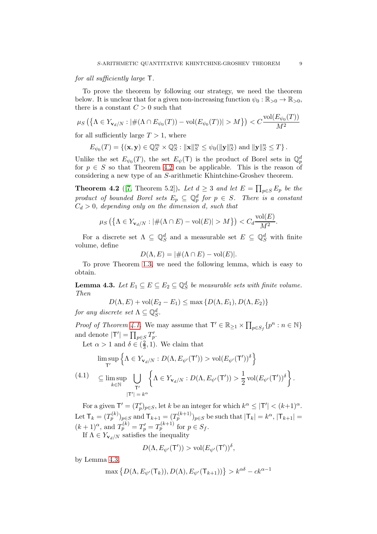### for all sufficiently large T.

To prove the theorem by following our strategy, we need the theorem below. It is unclear that for a given non-increasing function  $\psi_0 : \mathbb{R}_{>0} \to \mathbb{R}_{>0}$ , there is a constant  $C > 0$  such that

$$
\mu_S\left(\left\{\Lambda \in Y_{\mathbf{v}_d/N} : |\#(\Lambda \cap E_{\psi_0}(T)) - \text{vol}(E_{\psi_0}(T))| > M\right\}\right) < C \frac{\text{vol}(E_{\psi_0}(T))}{M^2}
$$

for all sufficiently large  $T > 1$ , where

$$
E_{\psi_0}(T) = \{(\mathbf{x}, \mathbf{y}) \in \mathbb{Q}_S^m \times \mathbb{Q}_S^n : ||\mathbf{x}||_S^m \leq \psi_0(||\mathbf{y}||_S^n) \text{ and } ||\mathbf{y}||_S^n \leq T\}.
$$

Unlike the set  $E_{\psi_0}(T)$ , the set  $E_{\psi}(T)$  is the product of Borel sets in  $\mathbb{Q}_p^d$ for  $p \in S$  so that Theorem [4.2](#page-8-0) can be applicable. This is the reason of considering a new type of an S-arithmetic Khintchine-Groshev theorem.

<span id="page-8-0"></span>**Theorem 4.2** ([\[7,](#page-12-17) Theorem 5.2]). Let  $d \geq 3$  and let  $E = \prod_{p \in S} E_p$  be the product of bounded Borel sets  $E_p \subseteq \mathbb{Q}_p^d$  for  $p \in S$ . There is a constant  $C_d > 0$ , depending only on the dimension d, such that

$$
\mu_S\left(\left\{\Lambda \in Y_{\mathbf{v}_d/N} : |\#(\Lambda \cap E) - \text{vol}(E)| > M\right\}\right) < C_d \frac{\text{vol}(E)}{M^2}.
$$

For a discrete set  $\Lambda \subseteq \mathbb{Q}_{S}^{d}$  and a measurable set  $E \subseteq \mathbb{Q}_{S}^{d}$  with finite volume, define

$$
D(\Lambda, E) = |\#(\Lambda \cap E) - \text{vol}(E)|.
$$

<span id="page-8-1"></span>To prove Theorem [1.3,](#page-3-0) we need the following lemma, which is easy to obtain.

**Lemma 4.3.** Let  $E_1 \subseteq E \subseteq E_2 \subseteq \mathbb{Q}_S^d$  be measurable sets with finite volume. Then

$$
D(\Lambda, E) + \text{vol}(E_2 - E_1) \le \max\{D(\Lambda, E_1), D(\Lambda, E_2)\}
$$

for any discrete set  $\Lambda \subseteq \mathbb{Q}_S^d$ .

*Proof of Theorem [4.1.](#page-7-1)* We may assume that  $\mathsf{T}' \in \mathbb{R}_{\geq 1} \times \prod_{p \in S_f} \{p^n : n \in \mathbb{N}\}\$ and denote  $|\mathsf{T}'| = \prod_{p \in S} T'_p$ .

Let  $\alpha > 1$  and  $\delta \in (\frac{2}{3})$  $(\frac{2}{3}, 1)$ . We claim that

<span id="page-8-2"></span>
$$
\limsup_{T'} \left\{ \Lambda \in Y_{\mathbf{v}_d/N} : D(\Lambda, E_{\psi'}(T')) > \text{vol}(E_{\psi'}(T'))^{\delta} \right\}
$$
\n
$$
\subseteq \limsup_{k \in \mathbb{N}} \bigcup_{T'} \left\{ \Lambda \in Y_{\mathbf{v}_d/N} : D(\Lambda, E_{\psi'}(T')) > \frac{1}{2} \text{vol}(E_{\psi'}(T'))^{\delta} \right\}.
$$
\n
$$
\text{(4.1)}
$$
\n
$$
|T'| = k^{\alpha}
$$

For a given  $\mathsf{T}' = (T'_p)_{p \in S}$ , let k be an integer for which  $k^{\alpha} \leq |\mathsf{T}'| < (k+1)^{\alpha}$ . Let  $\mathsf{T}_k = (T_p^{(k)})_{p \in S}$  and  $\mathsf{T}_{k+1} = (T_p^{(k+1)})_{p \in S}$  be such that  $|\mathsf{T}_k| = k^{\alpha}, |\mathsf{T}_{k+1}| = k$  $(k+1)^{\alpha}$ , and  $T_p^{(k)} = T_p' = T_p^{(k+1)}$  for  $p \in S_f$ . If  $\Lambda \in Y_{\mathbf{v}_d/N}$  satisfies the inequality

$$
D(\Lambda, E_{\psi'}(T')) > \text{vol}(E_{\psi'}(T'))^{\delta},
$$

by Lemma [4.3,](#page-8-1)

$$
\max\left\{D(\Lambda,E_{\psi'}(\mathsf{T}_k)),D(\Lambda),E_{\psi'}(\mathsf{T}_{k+1}))\right\} > k^{\alpha\delta} - ck^{\alpha-1}
$$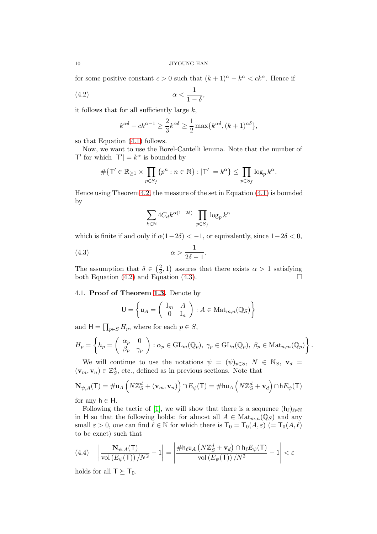for some positive constant  $c > 0$  such that  $(k+1)^{\alpha} - k^{\alpha} < ck^{\alpha}$ . Hence if

$$
\alpha < \frac{1}{1 - \delta},
$$

it follows that for all sufficiently large  $k$ ,

<span id="page-9-0"></span>
$$
k^{\alpha\delta} - ck^{\alpha-1} \ge \frac{2}{3}k^{\alpha\delta} \ge \frac{1}{2} \max\{k^{\alpha\delta}, (k+1)^{\alpha\delta}\},\
$$

so that Equation [\(4.1\)](#page-8-2) follows.

Now, we want to use the Borel-Cantelli lemma. Note that the number of T' for which  $|T'| = k^{\alpha}$  is bounded by

$$
\#\{\mathsf{T}'\in\mathbb{R}_{\geq 1}\times\prod_{p\in S_f}\{p^n:n\in\mathbb{N}\}:|\mathsf{T}'|=k^{\alpha}\}\leq\prod_{p\in S_f}\log_p k^{\alpha}.
$$

Hence using Theorem [4.2,](#page-8-0) the measure of the set in Equation [\(4.1\)](#page-8-2) is bounded by

<span id="page-9-1"></span>
$$
\sum_{k\in\mathbb{N}}4C_d k^{\alpha(1-2\delta)}\,\prod_{p\in S_f}\log_p k^\alpha
$$

which is finite if and only if  $\alpha(1-2\delta) < -1$ , or equivalently, since  $1-2\delta < 0$ ,

$$
\alpha > \frac{1}{2\delta - 1}.
$$

The assumption that  $\delta \in \left(\frac{2}{3}\right)$  $(\frac{2}{3}, 1)$  assures that there exists  $\alpha > 1$  satisfying both Equation [\(4.2\)](#page-9-0) and Equation [\(4.3\)](#page-9-1).  $\Box$ 

### 4.1. Proof of Theorem [1.3.](#page-3-0) Denote by

$$
\mathsf{U} = \left\{ \mathsf{u}_A = \left( \begin{array}{cc} \mathsf{I}_{m} & A \\ 0 & \mathsf{I}_n \end{array} \right) : A \in \text{Mat}_{m,n}(\mathbb{Q}_S) \right\}
$$

and  $H = \prod_{p \in S} H_p$ , where for each  $p \in S$ ,

$$
H_p = \left\{ h_p = \begin{pmatrix} \alpha_p & 0 \\ \beta_p & \gamma_p \end{pmatrix} : \alpha_p \in \mathrm{GL}_m(\mathbb{Q}_p), \ \gamma_p \in \mathrm{GL}_n(\mathbb{Q}_p), \ \beta_p \in \mathrm{Mat}_{n,m}(\mathbb{Q}_p) \right\}.
$$

We will continue to use the notations  $\psi = (\psi)_{p \in S}$ ,  $N \in \mathbb{N}_S$ ,  $\mathbf{v}_d =$  $(\mathbf{v}_m, \mathbf{v}_n) \in \mathbb{Z}_S^d$ , etc., defined as in previous sections. Note that

$$
\mathbf{N}_{\psi,A}(\mathsf{T}) = \# \mathsf{u}_A \left( N \mathbb{Z}_S^d + (\mathbf{v}_m, \mathbf{v}_n) \right) \cap E_{\psi}(\mathsf{T}) = \# \mathsf{hu}_A \left( N \mathbb{Z}_S^d + \mathbf{v}_d \right) \cap \mathsf{h} E_{\psi}(\mathsf{T})
$$

for any  $h \in H$ .

Following the tactic of [\[1\]](#page-12-1), we will show that there is a sequence  $(h_\ell)_{\ell \in \mathbb{N}}$ in H so that the following holds: for almost all  $A \in Mat_{m,n}(\mathbb{Q}_S)$  and any small  $\varepsilon > 0$ , one can find  $\ell \in \mathbb{N}$  for which there is  $\mathsf{T}_0 = \mathsf{T}_0(A, \varepsilon)$  (=  $\mathsf{T}_0(A, \ell)$ ) to be exact) such that

<span id="page-9-2"></span>
$$
(4.4) \quad \left| \frac{\mathbf{N}_{\psi,A}(\mathsf{T})}{\mathrm{vol}\left(E_{\psi}(\mathsf{T})\right)/N^2} - 1 \right| = \left| \frac{\# \mathsf{h}_{\ell} \mathsf{u}_{A}\left(N\mathbb{Z}_{S}^{d} + \mathbf{v}_{d}\right) \cap \mathsf{h}_{\ell} E_{\psi}(\mathsf{T})}{\mathrm{vol}\left(E_{\psi}(\mathsf{T})\right)/N^2} - 1 \right| < \varepsilon
$$

holds for all  $T \succeq T_0$ .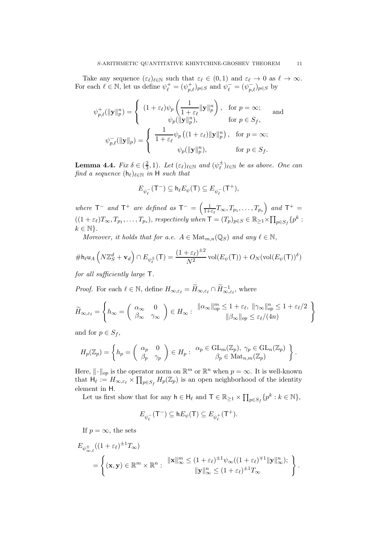Take any sequence  $(\varepsilon_{\ell})_{\ell \in \mathbb{N}}$  such that  $\varepsilon_{\ell} \in (0,1)$  and  $\varepsilon_{\ell} \to 0$  as  $\ell \to \infty$ . For each  $\ell \in \mathbb{N}$ , let us define  $\psi_{\ell}^{+} = (\psi_{p,\ell}^{+})_{p \in S}$  and  $\psi_{\ell}^{-} = (\psi_{p,\ell}^{-})_{p \in S}$  by

$$
\psi_{p,\ell}^{+}(\|\mathbf{y}\|_{p}^{n}) = \begin{cases}\n(1+\varepsilon_{\ell})\psi_{p}\left(\frac{1}{1+\varepsilon_{\ell}}\|\mathbf{y}\|_{p}^{n}\right), & \text{for } p = \infty; \\
\psi_{p}(\|\mathbf{y}\|_{p}^{n}), & \text{for } p \in S_{f}, \\
\psi_{p,\ell}^{-}(\|\mathbf{y}\|_{p}) = \begin{cases}\n\frac{1}{1+\varepsilon_{\ell}}\psi_{p}\left((1+\varepsilon_{\ell})\|\mathbf{y}\|_{p}^{n}\right), & \text{for } p = \infty; \\
\psi_{p}(\|\mathbf{y}\|_{p}^{n}), & \text{for } p \in S_{f}.\n\end{cases}\n\end{cases}
$$

<span id="page-10-0"></span>**Lemma 4.4.** Fix  $\delta \in (\frac{2}{3})$  $(\frac{2}{3},1)$ . Let  $(\varepsilon_{\ell})_{\ell \in \mathbb{N}}$  and  $(\psi_{\ell}^{\pm})$  $(\frac{1}{\ell})_{\ell \in \mathbb{N}}$  be as above. One can find a sequence  $(h_{\ell})_{\ell \in \mathbb{N}}$  in H such that

$$
E_{\psi^-_\ell}(\mathsf{T}^-) \subseteq \mathsf{h}_\ell E_\psi(\mathsf{T}) \subseteq E_{\psi^-_\ell}(\mathsf{T}^+),
$$

where  $T^-$  and  $T^+$  are defined as  $T^- = \left(\frac{1}{1+r}\right)$  $\frac{1}{1+\varepsilon_\ell}T_\infty,T_{p_1},\ldots,T_{p_s}\right)$  and  $\mathsf{T}^+=$  $((1+\varepsilon_\ell)T_\infty, T_{p_1}, \ldots, T_{p_s}),$  respectively when  $\mathsf{T} = (T_p)_{p \in S} \in \mathbb{R}_{\geq 1} \times \prod_{p \in S_f} \{p^k :$  $k \in \mathbb{N}$ .

Moreover, it holds that for a.e.  $A \in Mat_{m,n}(\mathbb{Q}_S)$  and any  $\ell \in \mathbb{N}$ ,

$$
\# \mathsf{h}_{\ell} \mathsf{u}_A \left( N \mathbb{Z}_S^d + \mathbf{v}_d \right) \cap E_{\psi_{\ell}^{\pm}}(\mathsf{T}) = \frac{(1 + \varepsilon_{\ell})^{\pm 2}}{N^2} \operatorname{vol}(E_{\psi}(\mathsf{T})) + O_N(\operatorname{vol}(E_{\psi}(\mathsf{T}))^{\delta})
$$

for all sufficiently large T.

*Proof.* For each  $\ell \in \mathbb{N}$ , define  $H_{\infty, \varepsilon_{\ell}} = \widetilde{H}_{\infty, \varepsilon_{\ell}} \cap \widetilde{H}_{\infty, \varepsilon_{\ell}}^{-1}$ , where

$$
\widetilde{H}_{\infty,\varepsilon_{\ell}} = \left\{ h_{\infty} = \begin{pmatrix} \alpha_{\infty} & 0 \\ \beta_{\infty} & \gamma_{\infty} \end{pmatrix} \in H_{\infty} : \begin{array}{l} \| \alpha_{\infty} \|_{op}^m \leq 1 + \varepsilon_{\ell}, \| \gamma_{\infty} \|_{op}^n \leq 1 + \varepsilon_{\ell}/2 \\ \| \beta_{\infty} \|_{op} \leq \varepsilon_{\ell}/(4n) \end{array} \right\}
$$

and for  $p \in S_f$ ,

$$
H_p(\mathbb{Z}_p) = \left\{ h_p = \begin{pmatrix} \alpha_p & 0 \\ \beta_p & \gamma_p \end{pmatrix} \in H_p : \begin{array}{l} \alpha_p \in \text{GL}_m(\mathbb{Z}_p), \ \gamma_p \in \text{GL}_n(\mathbb{Z}_p) \\ \beta_p \in \text{Mat}_{n,m}(\mathbb{Z}_p) \end{array} \right\}.
$$

Here,  $\|\cdot\|_{op}$  is the operator norm on  $\mathbb{R}^m$  or  $\mathbb{R}^n$  when  $p = \infty$ . It is well-known that  $H_{\ell} := H_{\infty, \varepsilon_{\ell}} \times \prod_{p \in S_f} H_p(\mathbb{Z}_p)$  is an open neighborhood of the identity element in H.

Let us first show that for any  $h \in H_{\ell}$  and  $\mathsf{T} \in \mathbb{R}_{\geq 1} \times \prod_{p \in S_f} \{p^k : k \in \mathbb{N}\},$ 

$$
E_{\psi_{\ell}^-}(\mathsf{T}^-) \subseteq \mathsf{h} E_{\psi}(\mathsf{T}) \subseteq E_{\psi_{\ell}^+}(\mathsf{T}^+).
$$

If  $p = \infty$ , the sets

$$
E_{\psi_{\infty,\ell}^{\pm}}((1+\varepsilon_{\ell})^{\pm 1}T_{\infty})
$$
  
=  $\left\{ (\mathbf{x},\mathbf{y}) \in \mathbb{R}^m \times \mathbb{R}^n : \| \mathbf{x} \|_{\infty}^m \le (1+\varepsilon_{\ell})^{\pm 1} \psi_{\infty}((1+\varepsilon_{\ell})^{\mp 1} \| \mathbf{y} \|_{\infty}^n); \right\}.$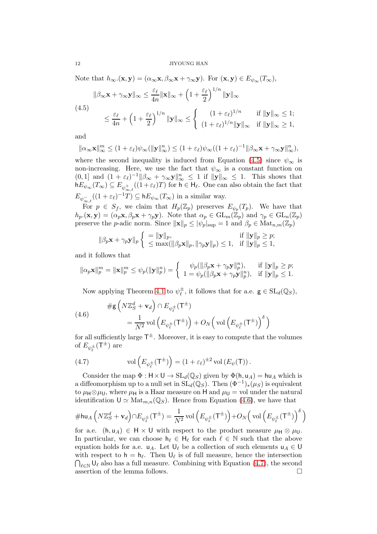Note that  $h_{\infty}.(\mathbf{x}, \mathbf{y}) = (\alpha_{\infty} \mathbf{x}, \beta_{\infty} \mathbf{x} + \gamma_{\infty} \mathbf{y})$ . For  $(\mathbf{x}, \mathbf{y}) \in E_{\psi_{\infty}}(T_{\infty}),$ 

<span id="page-11-0"></span>
$$
\|\beta_{\infty}\mathbf{x} + \gamma_{\infty}\mathbf{y}\|_{\infty} \le \frac{\varepsilon_{\ell}}{4n} \|\mathbf{x}\|_{\infty} + \left(1 + \frac{\varepsilon_{\ell}}{2}\right)^{1/n} \|\mathbf{y}\|_{\infty}
$$
  
(4.5)  

$$
\le \frac{\varepsilon_{\ell}}{4n} + \left(1 + \frac{\varepsilon_{\ell}}{2}\right)^{1/n} \|\mathbf{y}\|_{\infty} \le \left\{ \begin{array}{ll} (1 + \varepsilon_{\ell})^{1/n} & \text{if } \|\mathbf{y}\|_{\infty} \le 1; \\ (1 + \varepsilon_{\ell})^{1/n} \|\mathbf{y}\|_{\infty} & \text{if } \|\mathbf{y}\|_{\infty} \ge 1, \end{array} \right.
$$

and

$$
\|\alpha_{\infty} \mathbf{x}\|_{\infty}^m \le (1+\varepsilon_{\ell})\psi_{\infty}(\|\mathbf{y}\|_{\infty}^n) \le (1+\varepsilon_{\ell})\psi_{\infty}((1+\varepsilon_{\ell})^{-1}\|\beta_{\infty}\mathbf{x} + \gamma_{\infty}\mathbf{y}\|_{\infty}^n),
$$

where the second inequality is induced from Equation [\(4.5\)](#page-11-0) since  $\psi_{\infty}$  is non-increasing. Here, we use the fact that  $\psi_{\infty}$  is a constant function on  $(0,1]$  and  $(1+\varepsilon_\ell)^{-1} \|\beta_\infty + \gamma_\infty \mathbf{y}\|_\infty^n \leq 1$  if  $\|\mathbf{y}\|_\infty \leq 1$ . This shows that  $hE_{\psi_{\infty}}(T_{\infty}) \subseteq E_{\psi_{\infty,\ell}^+}((1+\varepsilon_\ell)T)$  for  $h \in H_\ell$ . One can also obtain the fact that  $E_{\psi_{\infty,\ell}^{-}}((1+\varepsilon_{\ell})^{-1}T) \subseteq hE_{\psi_{\infty}}(T_{\infty})$  in a similar way.

For  $p \in S_f$ , we claim that  $H_p(\mathbb{Z}_p)$  preserves  $E_{\psi_p}(T_p)$ . We have that  $h_p(\mathbf{x}, \mathbf{y}) = (\alpha_p \mathbf{x}, \beta_p \mathbf{x} + \gamma_p \mathbf{y})$ . Note that  $\alpha_p \in GL_m(\mathbb{Z}_p)$  and  $\gamma_p \in GL_n(\mathbb{Z}_p)$ preserve the p-adic norm. Since  $||\mathbf{x}||_p \leq ||\psi_p||_{\text{sup}} = 1$  and  $\beta_p \in \text{Mat}_{n,m}(\mathbb{Z}_p)$ 

$$
\|\beta_p \mathbf{x} + \gamma_p \mathbf{y}\|_p \left\{ \begin{array}{ll} = \|\mathbf{y}\|_p, & \text{if } \|\mathbf{y}\|_p \geq p; \\ \leq \max(\|\beta_p \mathbf{x}\|_p, \|\gamma_p \mathbf{y}\|_p) \leq 1, & \text{if } \|\mathbf{y}\|_p \leq 1, \end{array} \right.
$$

and it follows that

$$
\|\alpha_p \mathbf{x}\|_p^m = \|\mathbf{x}\|_p^m \leq \psi_p(\|\mathbf{y}\|_p^n) = \begin{cases} \psi_p(\|\beta_p \mathbf{x} + \gamma_p \mathbf{y}\|_p^n), & \text{if } \|\mathbf{y}\|_p \geq p; \\ 1 = \psi_p(\|\beta_p \mathbf{x} + \gamma_p \mathbf{y}\|_p^n), & \text{if } \|\mathbf{y}\|_p \leq 1. \end{cases}
$$

Now applying Theorem [4.1](#page-7-1) to  $\psi_{\ell}^{\pm}$  $\overline{\mathcal{L}}$ , it follows that for a.e.  $g \in SL_d(\mathbb{Q}_S)$ ,

<span id="page-11-1"></span>(4.6) 
$$
\#g\left(N\mathbb{Z}_S^d + \mathbf{v}_d\right) \cap E_{\psi_\ell^{\pm}}(\mathsf{T}^{\pm})
$$

$$
= \frac{1}{N^2} \text{vol}\left(E_{\psi_\ell^{\pm}}(\mathsf{T}^{\pm})\right) + O_N\left(\text{vol}\left(E_{\psi_\ell^{\pm}}(\mathsf{T}^{\pm})\right)^{\delta}\right)
$$

for all sufficiently large  $\mathsf{T}^{\pm}$ . Moreover, it is easy to compute that the volumes of  $E_{\psi_{\ell}^{\pm}}(\mathsf{T}^{\pm})$  are

<span id="page-11-2"></span>(4.7) vol 
$$
\left(E_{\psi_{\ell}^{\pm}}(\mathsf{T}^{\pm})\right) = \left(1 + \varepsilon_{\ell}\right)^{\pm 2} \text{vol}\left(E_{\psi}(\mathsf{T})\right).
$$

Consider the map  $\Phi : \mathsf{H} \times \mathsf{U} \to SL_d(\mathbb{Q}_S)$  given by  $\Phi(\mathsf{h}, \mathsf{u}_A) = \mathsf{hu}_A$  which is a diffeomorphism up to a null set in  $SL_d(\mathbb{Q}_S)$ . Then  $(\Phi^{-1})_*(\mu_S)$  is equivalent to  $\mu_H \otimes \mu_U$ , where  $\mu_H$  is a Haar measure on H and  $\mu_U = \text{vol}$  under the natural identification  $\mathsf{U} \simeq \mathrm{Mat}_{m,n}(\mathbb{Q}_S)$ . Hence from Equation [\(4.6\)](#page-11-1), we have that

$$
\#\mathsf{hu}_A\left(N\mathbb{Z}_S^d+\mathbf{v}_d\right)\cap E_{\psi_\ell^\pm}(\mathsf{T}^\pm)=\frac{1}{N^2}\,\mathrm{vol}\left(E_{\psi_\ell^\pm}(\mathsf{T}^\pm)\right)+O_N\Big(\,\mathrm{vol}\left(E_{\psi_\ell^\pm}(\mathsf{T}^\pm)\right)^\delta\Big)
$$

for a.e.  $(h, u_A) \in H \times U$  with respect to the product measure  $\mu_H \otimes \mu_U$ . In particular, we can choose  $h_{\ell} \in H_{\ell}$  for each  $\ell \in \mathbb{N}$  such that the above equation holds for a.e.  $u_A$ . Let  $U_\ell$  be a collection of such elements  $u_A \in U$ with respect to  $h = h_{\ell}$ . Then  $U_{\ell}$  is of full measure, hence the intersection  $\bigcap_{\ell \in \mathbb{N}} \mathsf{U}_{\ell}$  also has a full measure. Combining with Equation [\(4.7\)](#page-11-2), the second assertion of the lemma follows.  $\Box$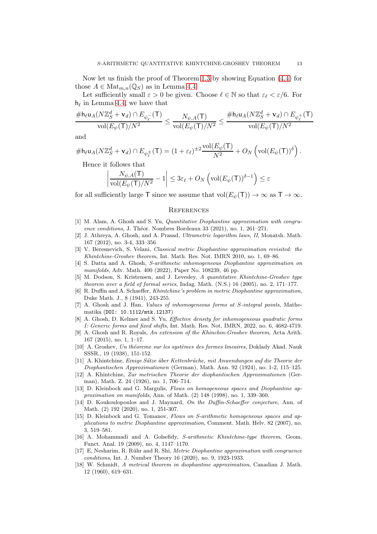Now let us finish the proof of Theorem [1.3](#page-3-0) by showing Equation [\(4.4\)](#page-9-2) for those  $A \in \text{Mat}_{m,n}(\mathbb{Q}_S)$  as in Lemma [4.4.](#page-10-0)

Let sufficiently small  $\varepsilon > 0$  be given. Choose  $\ell \in \mathbb{N}$  so that  $\varepsilon_{\ell} < \varepsilon/6$ . For  $h_{\ell}$  in Lemma [4.4,](#page-10-0) we have that

$$
\frac{\#h_{\ell}u_{A}(N\mathbb{Z}_{S}^{d}+\mathbf{v}_{d})\cap E_{\psi_{\ell}^{-}}(\mathsf{T})}{\mathrm{vol}(E_{\psi}(\mathsf{T})/N^{2}}\leq \frac{N_{\psi,A}(\mathsf{T})}{\mathrm{vol}(E_{\psi}(\mathsf{T})/N^{2}}\leq \frac{\#h_{\ell}u_{A}(N\mathbb{Z}_{S}^{d}+\mathbf{v}_{d})\cap E_{\psi_{\ell}^{+}}(\mathsf{T})}{\mathrm{vol}(E_{\psi}(\mathsf{T})/N^{2}}
$$

and

$$
\# \mathsf{h}_{\ell} \mathsf{u}_A(N\mathbb{Z}_S^d + \mathbf{v}_d) \cap E_{\psi_{\ell}^{\pm}}(\mathsf{T}) = (1 + \varepsilon_{\ell})^{\pm 2} \frac{\text{vol}(E_{\psi}(\mathsf{T})}{N^2} + O_N\left(\text{vol}(E_{\psi}(\mathsf{T}))^{\delta}\right).
$$

Hence it follows that

$$
\left|\frac{N_{\psi,A}(\mathsf{T})}{\mathrm{vol}(E_{\psi}(\mathsf{T})/N^2}-1\right|\leq 3\varepsilon_\ell + O_N\left(\mathrm{vol}(E_{\psi}(\mathsf{T}))^{\delta-1}\right)\leq \varepsilon
$$

for all sufficiently large T since we assume that  $vol(E_{\psi}(T)) \to \infty$  as  $T \to \infty$ .

#### **REFERENCES**

- <span id="page-12-1"></span>[1] M. Alam, A. Ghosh and S. Yu, Quantitative Diophantine approximation with congruence conditions, J. Théor. Nombres Bordeaux 33 (2021), no. 1, 261–271.
- <span id="page-12-16"></span>[2] J. Athreya, A. Ghosh, and A. Prasad, Ultrametric logarithm laws, II, Monatsh. Math. 167 (2012), no. 3-4, 333–356
- <span id="page-12-7"></span>[3] V. Beresnevich, S. Velani, Classical metric Diophantine approximation revisited: the Khintchine-Groshev theorem, Int. Math. Res. Not. IMRN 2010, no. 1, 69–86.
- <span id="page-12-12"></span>[4] S. Datta and A. Ghosh, S-arithmetic inhomogeneous Diophantine approximation on manifolds, Adv. Math. 400 (2022), Paper No. 108239, 46 pp.
- <span id="page-12-15"></span>[5] M. Dodson, S. Kristensen, and J. Levesley, A quantitative Khintchine-Groshev type theorem over a field of formal series, Indag. Math. (N.S.) 16 (2005), no. 2, 171–177.
- <span id="page-12-6"></span>[6] R. Duffin and A. Schaeffer, Khintchine's problem in metric Diophantine approximation, Duke Math. J., 8 (1941), 243-255.
- <span id="page-12-17"></span>[7] A. Ghosh and J. Han, Values of inhomogeneous forms at S-integral points, Mathematika (DOI: 10.1112/mtk.12137)
- <span id="page-12-9"></span>[8] A. Ghosh, D. Kelmer and S. Yu, Effective density for inhomogeneous quadratic forms I: Generic forms and fixed shifts, Int. Math. Res. Not. IMRN, 2022, no. 6, 4682-4719.
- <span id="page-12-14"></span>[9] A. Ghosh and R. Royals, An extension of the Khinchin-Groshev theorem, Acta Arith. 167 (2015), no. 1, 1–17.
- <span id="page-12-5"></span>[10] A. Groshev, Un théoreme sur les systèmes des formes lineaires, Doklady Akad. Nauk SSSR., 19 (1938), 151-152.
- <span id="page-12-3"></span>[11] A. Khintchine, Einige Sätze über Kettenbrüche, mit Anwendungen auf die Theorie der Diophantischen Approximationen (German), Math. Ann. 92 (1924), no. 1-2, 115–125.
- <span id="page-12-4"></span>[12] A. Khintchine, Zur metrischen Theorie der diophantischen Approximationen (German), Math. Z. 24 (1926), no. 1, 706–714.
- <span id="page-12-13"></span>[13] D. Kleinbock and G. Margulis, Flows on homogeneous spaces and Diophantine approximation on manifolds, Ann. of Math. (2) 148 (1998), no. 1, 339–360.
- <span id="page-12-8"></span>[14] D. Koukoulopoulos and J. Maynard, On the Duffin-Schaeffer conjecture, Ann. of Math. (2) 192 (2020), no. 1, 251-307.
- <span id="page-12-2"></span>[15] D. Kleinbock and G. Tomanov, Flows on S-arithmetic homogeneous spaces and applications to metric Diophantine approximation, Comment. Math. Helv. 82 (2007), no. 3, 519–581.
- <span id="page-12-11"></span>[16] A. Mohammadi and A. Golsefidy, S-arithmetic Khintchine-type theorem, Geom. Funct. Anal. 19 (2009), no. 4, 1147–1170.
- <span id="page-12-10"></span>[17] E, Nesharim, R. Rühr and R. Shi, Metric Diophantine approximation with congruence conditions, Int. J. Number Theory 16 (2020), no. 9, 1923-1933.
- <span id="page-12-0"></span>[18] W. Schmidt, A metrical theorem in diophantine approximation, Canadian J. Math. 12 (1960), 619–631.